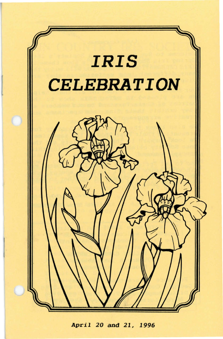

*April* 20 and 21, 1996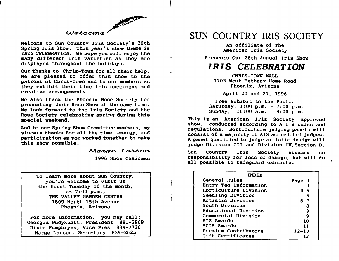### $Uelcome$

Welcome to Sun Country Iris Society's 26th Spring Iris Show. This year's show theme is *IRIS CELEBRATION.* We hope you will enjoy the many different iris varieties as they are displayed throughout the holidays.

Our thanks to Chris-Town for all their help. We are pleased to offer this show to the patrons of Chris-Town and to our members as they exhibit their fine iris specimens and creative arrangements.

We also thank the Phoenix Rose Society for presenting their Rose Show at the same time. We look forward to the Iris Society and the Rose SOCiety celebrating spring during this special weekend.

And to our Spring Show Committee members, my sincere thanks for all the time, energy, and participation as you worked together to make this show possible.

Marge Larson

1996 Show Chairman

 $\lfloor$ ..

 $\ddagger$ 

To learn more about Sun Country, you're welcome to visit us the first Tuesday of the month, at 7:00 p.m., THE VALLEY GARDEN CENTER 1809 North 15th Avenue Phoenix, Arizona

For more information, you may call: Georgia Gudykunst, President 491-2969 Dixie Humphryes, Vice Pres 839-7720 Marge Larson, Secretary 839-2625

# SUN COUNTRY IRIS SOCIETY

An affiliate of The American Iris Society

Presents Our 26th Annual Iris Show

## *IRIS CELEBRATION*

CHRIS-TOWN MALL 1703 West Bethany Home Road Phoenix, Arizona

April 20 and 21, 1996

Free Exhibit to the Public Saturday, 1:00 p.m. - 7:00 p.m. Sunday,  $10:00$  a.m.  $-4:00$  p.m.

This is an American Iris Society approved show, conducted according to A I S rules and regulations. Horticulture judging panels will consist of a majority of AIS accredited judges. A panel qualified to judge artistic design will judge Division III and Division IV,Section B.

Sun Country Iris Society assumes no responsibility for loss or damage, but will do all possible to safeguard exhibits.

| <b>INDEX</b>          |           |
|-----------------------|-----------|
| General Rules         | Page 3    |
| Entry Tag Information |           |
| Horticulture Division | $4 - 5$   |
| Seedling Division     | 5         |
| Artistic Division     | 6–7       |
| Youth Division        | я         |
| Educational Division  | g         |
| Commercial Division   | ą         |
| AIS Awards            | 10        |
| <b>SCIS Awards</b>    | 11        |
| Premium Contributors  | $12 - 13$ |
| Gift Certificates     | 13        |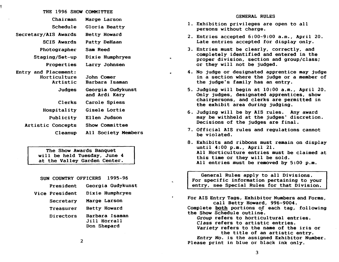| THE 1996 SHOW COMMITTEE |                                    |
|-------------------------|------------------------------------|
| Chairman                | Marge Larson                       |
| Schedule                | Gloria Beatty                      |
| Secretary/AIS Awards    | Betty Howard                       |
| <b>SCIS Awards</b>      | Patty DeHaan                       |
| Photographer            | Sam Reed                           |
| <b>Staging/Set-up</b>   | Dixie Humphryes                    |
| Properties              | Larry Johnsen                      |
| Entry and Placement:    |                                    |
| Horticulture            | John Comer                         |
| Artistic                | Barbara Isaman                     |
| Judges                  | Georgia Gudykunst<br>and Ardi Kary |
| Clerks                  | Carole Spiess                      |
| Hospitality             | Gisele Lortie                      |
| Publicity               | Ellen Judson                       |
| Artistic Concepts       | Show Committee                     |
| Cleanup                 | All Society Members                |

The Show Awards Banquet will be held Tuesday. June 4 at the Valley Garden Center.

| SUN COUNTRY OFFICERS | 1995–96                                       |
|----------------------|-----------------------------------------------|
| President            | Georgia Gudykunst                             |
| Vice President       | Dixie Humphryes                               |
| Secretary            | Marge Larson                                  |
| Treasurer            | Betty Howard                                  |
| Directors            | Barbara Isaman<br>Jill Horrall<br>Don Shepard |

- 1. Exhibition privileges are open to all persons without charge.
- 2. Entries accepted  $6:00-9:00$  a.m., April 20. Late entries accepted for display only.
- 3. Entries must be clearly. correctly. and completely identified and entered in the proper division, section and group/class; or they will not be judged.
- 4. No judge or designated apprentice may judge in a section where the judge or a member of the judge's family has an entry.
- 5. Judging will begin at 10:00 a.m., April 20. Only judges. designated apprentices. show chairpersons, and clerks are permitted in the exhibit area during judging.
- 6. Judging will be by AlS rules. Any award may be withheld at the judges' discretion. Decisions of the judges are final.
- 7. Official AlS rules and regulations cannot be violated.
- 8. Exhibits and ribbons must remain on display until 4:00 p.m., April 21. All Horticulture entries must be claimed at this time or they will be sold. All entries must be removed by 5:00 p.m.

General Rules apply to all Divisions. For specific information pertaining to your entry. see Special Rules for that Division.

For AIS Entry Tags, Exhibitor Numbers and Forms. call Betty Howard, 996-9004. Complete both portions of each tag, following

the Show Schedule outline.

 $\pmb{\epsilon}$ 

Group refers to horticultural entries.

*Class* refers to artistic entries.

*Variety* refers to the name of the iris or the title of an artistic entry.

*Entry No.* is the assigned Exhibitor Number. Please print in blue or black ink only.

2

3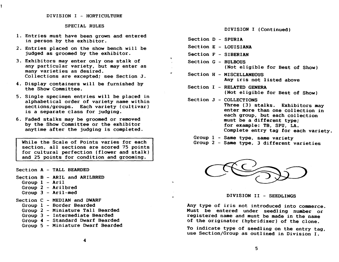#### SPECIAL RULES

- 1. Entries must have been grown and entered in person by the exhibitor.
- 2. Entries placed on the show bench will be judged as groomed by the exhibitor.
- 3. Exhibitors may enter only one stalk of any particular variety, but may enter as many varieties as desired. Collections are excepted; see Section J.
- 4. Display containers will be furnished by the Show Committee.
- 5. Single specimen entries will be placed in alphabetical order of variety name within sections/groups. Each variety (cultivar) is a separate class for judging.
- 6. Faded stalks may be groomed or removed by the Show Committee or the exhibitor anytime after the judging is completed.

While the Scale of Points varies for each section, all sections are scored 75 points for cultural perfection (flower and stalk) and 25 points for condition and grooming.

Section A - TALL BEARDED

- Section B ARIL and ARILBRED
	- Group  $1 Aril$
	- Group 2 Arilbred
	- Group 3 Aril-med
- Section C MEDIAN and DWARF
	- Group 1 Border Bearded
	- Group 2 Miniature Tall Bearded
	- Group 3 Intermediate Bearded
	- Group 4 Standard Dwarf Bearded
	- Group 5 Miniature Dwarf Bearded

DIVISION I (Continued)

- Section D SPURIA
- Section E LOUISIANA
- Section F SIBERIAN

..

..

÷.

- Section G BULBOUS (Not eligible for Best of Show)
- Section H MISCELLANEOUS Any iris not listed above
- Section I RELATED GENERA (Not eligible for Best of Show)

Section J - COLLECTIONS Three (3) stalks. Exhibitors may enter more than one collection in each group, but each collection must be a different type; for example: TB, SPU, LA. Complete entry tag for each variety.

Group I - Same type, same variety Group 2 - Same type, 3 different varieties



DIVISION II - SEEDLINGS

Any type of iris not introduced into commerce. Must be entered under seedling number or registered name and must be made in the name of the originator (hybridizer) of the clone.

To indicate type of seedling on the entry tag, use Section/Group as outlined in Division I.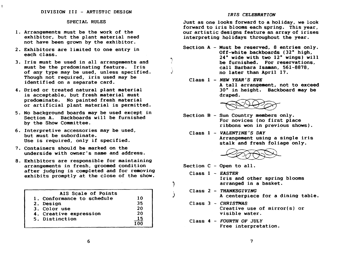#### SPECIAL RULES

- 1. Arrangements must be the work of the exhibitor, but the plant material need not have been grown by the exhibitor.
- 2. Exhibitors are limited to one entry in each class.
- 3. Iris must be used in all arrangements and must be the predominating feature. Iris of any type may be used, unless specified. Though not required, iris used may be identified on a separate card.
- 4. Dried or treated natural plant material is acceptable, but fresh material must predominate. No painted fresh material or artificial plant material is permitted.
- 5. No background boards may be used except in Section A. Backboards will be furnished by the Show Committee.
- 6. Interpretive accessories may be used, but must be subordinate. Use is required, only if specified.
- 7. Containers should be marked on the underside with owner's name and address.
- 8. Exhibitors are responsible for maintaining arrangements in fresh, groomed condition after judging is completed and for removing exhibits promptly at the close of the show.

| AIS Scale of Points        |    |
|----------------------------|----|
| 1. Conformance to schedule | 10 |
| 2. Design                  | 35 |
| 3. Color use               | 20 |
| 4. Creative expression     | 20 |
| 5. Distinction             | 15 |
|                            |    |

#### *IRIS CELEBRATION*

Just as one looks forward to a hoI iday. we look forward to iris blooms each spring. This year. our artistic designs feature an array of irises interpreting holidays throughout the year.

- Section A Must be reserved, 8 entries only. Off-white backboards (32" high, 24" wide with two 12" wings) will be furnished. For reservations, call Barbara Isaman, 561-8878, no later than April 17.
	- Class 1 *NBW YEAR'S EVE*  A tall arrangement, not to exceed 30" in height. Backboard may be draped.



- Section B Sun Country members only. For novices (no first place ribbons won in previous shows).
	- Class 1 *VALBNTINE'S DAY*  Arrangement using a single iris stalk and fresh foliage only.



Section C - Open to all.

J

, )

- Class 1 *EASTBR*  Iris and other spring blooms arranged in a basket.
- Class 2 *THANKSGIVING*  A centerpiece for a dining table.
- Class 3 *CHRISTMAS*  Creative use of mirror(s) or visible water.
- Class 4 *FOURTH* OF *JULY*  Free interpretation.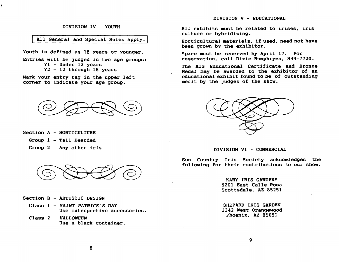#### DIVISION IV - YOUTH

### All General and Special Rules apply.

Youth is defined as 18 years or younger.

Entries will be judged in two age groups: Yl - Under 12 years Y2 - 12 through 18 years

Mark your entry tag in the upper left corner to indicate your age group.



- Section A HORTICULTURE
	- Group 1 Tall Bearded
	- Group 2 Any other iris



- Section B ARTISTIC DESIGN
	- Class 1 *SAINT PATRICK'S DAY*  Use interpretive accessories.
	- Class 2 *HALLOWEEN*  Use a black container.

DIVISION V - EDUCATIONAL

All exhibits must be related to irises, iris culture or hybridizing.

Horticultural materials, if used, need not have been grown by the exhibitor.

Space must be reserved by April 11. For reservation, call Dixie Humphryes, 839-1120.

The AIS Educational Certificate and Bronze Medal may be awarded to the exhibitor of an educational exhibit found to be of outstanding merit by the judges of the show.



DIVISION VI - COMMERCIAL

Sun Country Iris Society acknowledges the following for their contributions to our show.

> KARY IRIS GARDENS 6201 East Calle Rosa Scottsdale, AZ 85251

> SHEPARD IRIS GARDEN 3342 West Orangewood Phoenix, AZ 85051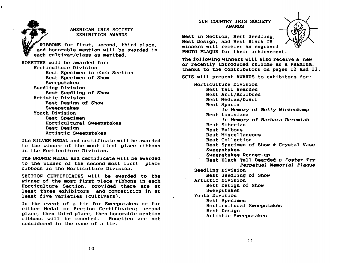AMERICAN IRIS SOCIETY EXHIBITION AWARDS RIBBONS for first, second, third place, and honorable mention will be awarded in each cultivar/class as merited. ROSETTES will be awarded for: Horticulture Division Best Specimen in each Section Best Specimen of Show Sweepstakes Seedling Division Best Seedling of Show Artistic Division Best Design of Show Sweepstakes Youth Division Best Specimen Horticultural Sweepstakes Best Design Artistic Sweepstakes

The SILVER MEDAL and certificate will be awarded to the winner of the most first place ribbons in the Horticulture Division.

The BRONZE MEDAL and certificate will be awarded to the winner of the second most first place ribbons in the Horticulture Division.

SECTION CERTIFICATES will be awarded to the winner of the most first place ribbons in each Horticulture Section, provided there are at least three exhibitors and competition in at least five varieties (cultivars).

In the event of a tie for Sweepstakes or for ei ther Medal or Section Certificates; second place, then third place, then honorable mention ribbons will be counted. Rosettes are not considered in the case of a tie.

SUN COUNTRY IRIS SOCIETY AWARDS



Best in Section, Best Seedling, Best Design, and Best Black TB winners will receive an engraved PHOTO PLAQUE for their achievement.

The following winners will also receive a new or recently introduced rhizome as a PREMIUM. thanks to the contributors on pages 12 and 13.

SCIS will present AWARDS to exhibitors for:

Horticulture Division Best Tall Bearded Best Aril/Arilbred Best Median/Dwarf Best Spuria *In Memory* of Betty *Wickenkamp*  Best Louisiana In Memory of *Barbara Deremiah*  Best Siberian Best Bulbous Best Miscellaneous Best Collection Best Specimen of Show  $\star$  Crystal Vase Sweepstakes Sweepstakes Runner-up Best Black Tall Bearded 0 Foster *Try Perpetual Memorial Plaque*  Seedling Division Best Seedling of Show Artistic Division Best Design of Show Sweepstakes Youth Division Best Specimen Horticultural Sweepstakes Best Design Artistic Sweepstakes